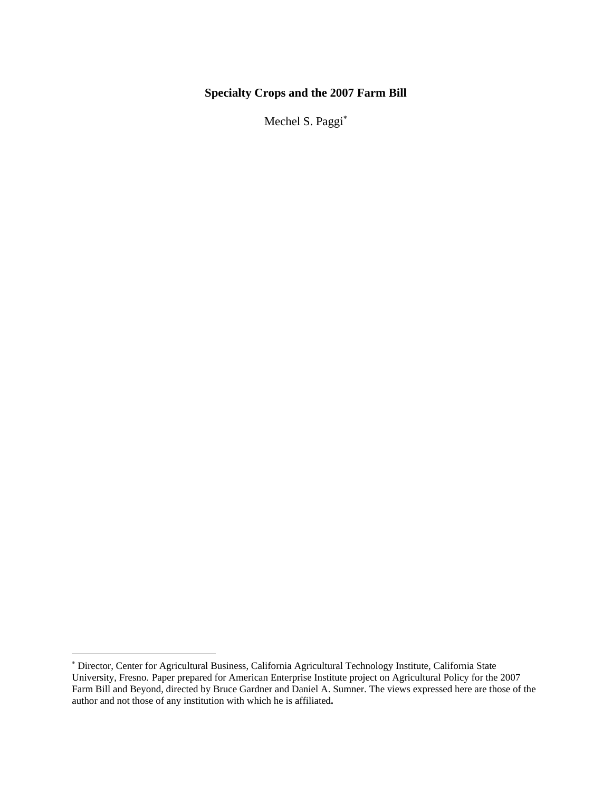# **Specialty Crops and the 2007 Farm Bill**

Mechel S. Paggi[∗](#page-0-0)

<span id="page-0-0"></span><sup>∗</sup> Director, Center for Agricultural Business, California Agricultural Technology Institute, California State University, Fresno. Paper prepared for American Enterprise Institute project on Agricultural Policy for the 2007 Farm Bill and Beyond, directed by Bruce Gardner and Daniel A. Sumner. The views expressed here are those of the author and not those of any institution with which he is affiliated**.**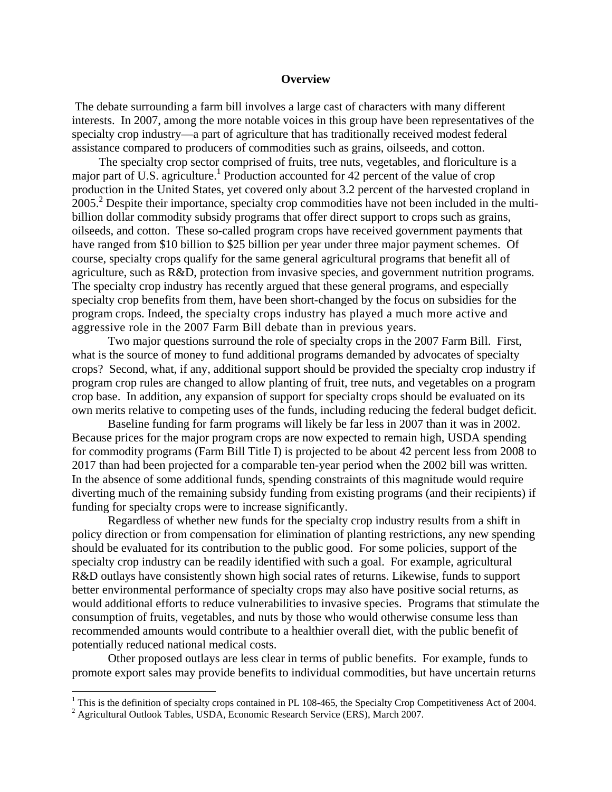#### **Overview**

 The debate surrounding a farm bill involves a large cast of characters with many different interests. In 2007, among the more notable voices in this group have been representatives of the specialty crop industry—a part of agriculture that has traditionally received modest federal assistance compared to producers of commodities such as grains, oilseeds, and cotton.

The specialty crop sector comprised of fruits, tree nuts, vegetables, and floriculture is a major part of U.S. agriculture.<sup>[1](#page-1-0)</sup> Production accounted for 42 percent of the value of crop production in the United States, yet covered only about 3.2 percent of the harvested cropland in 2005.<sup>2</sup>Despite their importance, specialty crop commodities have not been included in the multibillion dollar commodity subsidy programs that offer direct support to crops such as grains, oilseeds, and cotton. These so-called program crops have received government payments that have ranged from \$10 billion to \$25 billion per year under three major payment schemes. Of course, specialty crops qualify for the same general agricultural programs that benefit all of agriculture, such as R&D, protection from invasive species, and government nutrition programs. The specialty crop industry has recently argued that these general programs, and especially specialty crop benefits from them, have been short-changed by the focus on subsidies for the program crops. Indeed, the specialty crops industry has played a much more active and aggressive role in the 2007 Farm Bill debate than in previous years.

Two major questions surround the role of specialty crops in the 2007 Farm Bill. First, what is the source of money to fund additional programs demanded by advocates of specialty crops? Second, what, if any, additional support should be provided the specialty crop industry if program crop rules are changed to allow planting of fruit, tree nuts, and vegetables on a program crop base. In addition, any expansion of support for specialty crops should be evaluated on its own merits relative to competing uses of the funds, including reducing the federal budget deficit.

Baseline funding for farm programs will likely be far less in 2007 than it was in 2002. Because prices for the major program crops are now expected to remain high, USDA spending for commodity programs (Farm Bill Title I) is projected to be about 42 percent less from 2008 to 2017 than had been projected for a comparable ten-year period when the 2002 bill was written. In the absence of some additional funds, spending constraints of this magnitude would require diverting much of the remaining subsidy funding from existing programs (and their recipients) if funding for specialty crops were to increase significantly.

Regardless of whether new funds for the specialty crop industry results from a shift in policy direction or from compensation for elimination of planting restrictions, any new spending should be evaluated for its contribution to the public good. For some policies, support of the specialty crop industry can be readily identified with such a goal. For example, agricultural R&D outlays have consistently shown high social rates of returns. Likewise, funds to support better environmental performance of specialty crops may also have positive social returns, as would additional efforts to reduce vulnerabilities to invasive species. Programs that stimulate the consumption of fruits, vegetables, and nuts by those who would otherwise consume less than recommended amounts would contribute to a healthier overall diet, with the public benefit of potentially reduced national medical costs.

Other proposed outlays are less clear in terms of public benefits. For example, funds to promote export sales may provide benefits to individual commodities, but have uncertain returns

<span id="page-1-0"></span><sup>&</sup>lt;sup>1</sup> This is the definition of specialty crops contained in PL 108-465, the Specialty Crop Competitiveness Act of 2004.

<span id="page-1-1"></span><sup>&</sup>lt;sup>2</sup> Agricultural Outlook Tables, USDA, Economic Research Service (ERS), March 2007.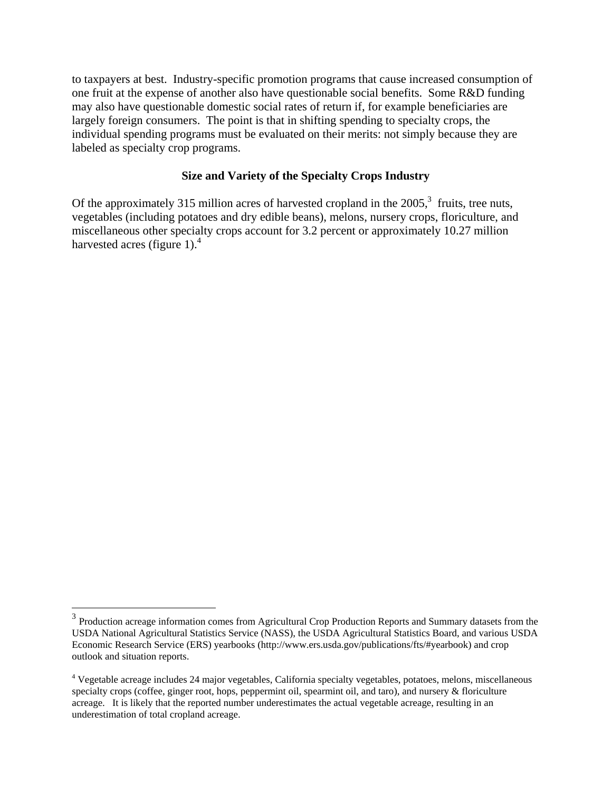to taxpayers at best. Industry-specific promotion programs that cause increased consumption of one fruit at the expense of another also have questionable social benefits. Some R&D funding may also have questionable domestic social rates of return if, for example beneficiaries are largely foreign consumers. The point is that in shifting spending to specialty crops, the individual spending programs must be evaluated on their merits: not simply because they are labeled as specialty crop programs.

# **Size and Variety of the Specialty Crops Industry**

Of the approximately 315 million acres of harvested cropland in the  $2005$ ,<sup>3</sup> fruits, tree nuts, vegetables (including potatoes and dry edible beans), melons, nursery crops, floriculture, and miscellaneous other specialty crops account for 3.2 percent or approximately 10.27 million harvested acres (figure 1). $<sup>4</sup>$ </sup>

<span id="page-2-0"></span><sup>&</sup>lt;sup>3</sup> Production acreage information comes from Agricultural Crop Production Reports and Summary datasets from the USDA National Agricultural Statistics Service (NASS), the USDA Agricultural Statistics Board, and various USDA Economic Research Service (ERS) yearbooks (http://www.ers.usda.gov/publications/fts/#yearbook) and crop outlook and situation reports.

<span id="page-2-1"></span><sup>&</sup>lt;sup>4</sup> Vegetable acreage includes 24 major vegetables, California specialty vegetables, potatoes, melons, miscellaneous specialty crops (coffee, ginger root, hops, peppermint oil, spearmint oil, and taro), and nursery & floriculture acreage. It is likely that the reported number underestimates the actual vegetable acreage, resulting in an underestimation of total cropland acreage.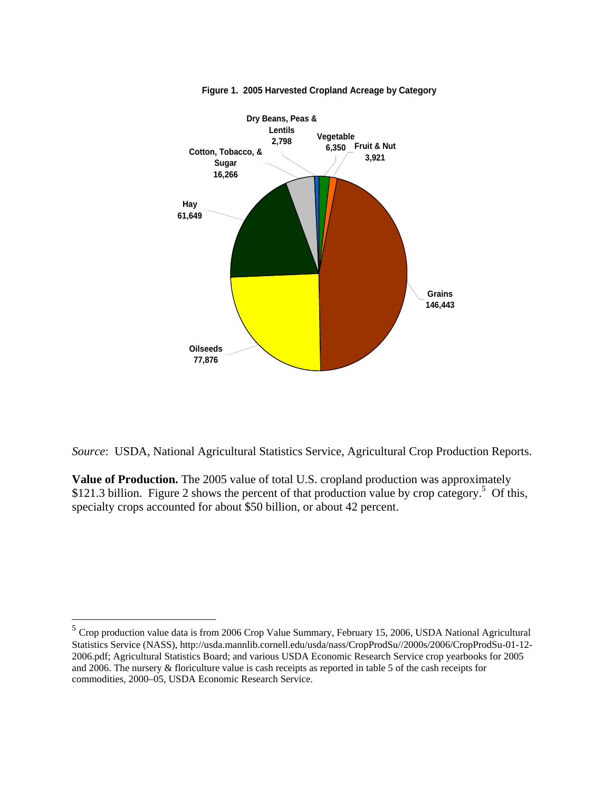

**Figure 1. 2005 Harvested Cropland Acreage by Category**

*Source*: USDA, National Agricultural Statistics Service, Agricultural Crop Production Reports.

**Value of Production.** The 2005 value of total U.S. cropland production was approximately \$121.3 billion. Figure 2 shows the percent of that production value by crop category.<sup>5</sup> Of this, specialty crops accounted for about \$50 billion, or about 42 percent.

<span id="page-3-0"></span> $<sup>5</sup>$  Crop production value data is from 2006 Crop Value Summary, February 15, 2006, USDA National Agricultural</sup> Statistics Service (NASS), http://usda.mannlib.cornell.edu/usda/nass/CropProdSu//2000s/2006/CropProdSu-01-12- 2006.pdf; Agricultural Statistics Board; and various USDA Economic Research Service crop yearbooks for 2005 and 2006. The nursery & floriculture value is cash receipts as reported in table 5 of the cash receipts for commodities, 2000–05, USDA Economic Research Service.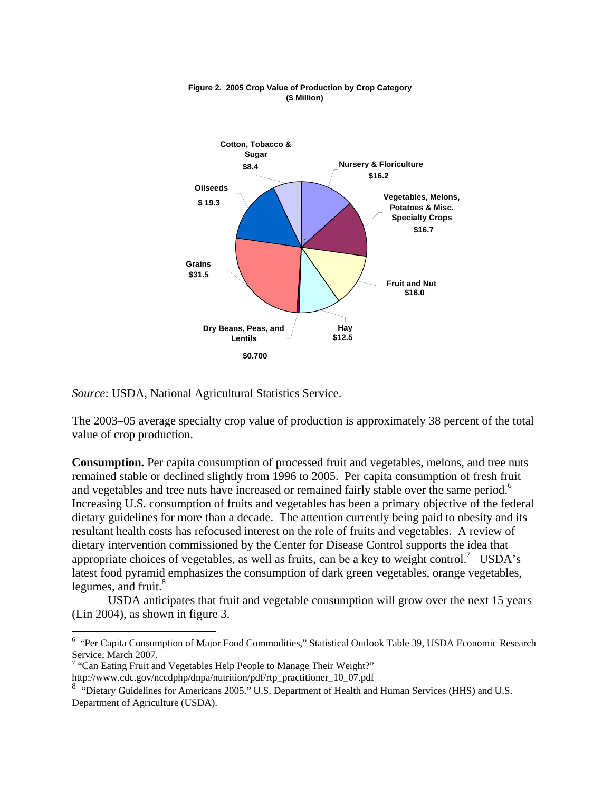

#### **Figure 2. 2005 Crop Value of Production by Crop Category (\$ Million)**

*Source*: USDA, National Agricultural Statistics Service.

The 2003–05 average specialty crop value of production is approximately 38 percent of the total value of crop production.

**Consumption.** Per capita consumption of processed fruit and vegetables, melons, and tree nuts remained stable or declined slightly from 1996 to 2005. Per capita consumption of fresh fruit andvegetables and tree nuts have increased or remained fairly stable over the same period.<sup>6</sup> Increasing U.S. consumption of fruits and vegetables has been a primary objective of the federal dietary guidelines for more than a decade. The attention currently being paid to obesity and its resultant health costs has refocused interest on the role of fruits and vegetables. A review of dietary intervention commissioned by the Center for Disease Control supports the idea that appropriate choices of vegetables, as well as fruits, can be a key to weight control.<sup>7</sup> USDA's latest food pyramid emphasizes the consumption of dark green vegetables, orange vegetables, legumes, and fruit. $8<sup>8</sup>$ 

USDA anticipates that fruit and vegetable consumption will grow over the next 15 years (Lin 2004), as shown in figure 3.

<u>.</u>

<span id="page-4-0"></span><sup>&</sup>lt;sup>6</sup> "Per Capita Consumption of Major Food Commodities," Statistical Outlook Table 39, USDA Economic Research Service, March 2007.

<span id="page-4-1"></span> $7$  "Can Eating Fruit and Vegetables Help People to Manage Their Weight?"

http://www.cdc.gov/nccdphp/dnpa/nutrition/pdf/rtp\_practitioner\_10\_07.pdf

<span id="page-4-2"></span><sup>&</sup>lt;sup>8</sup> "Dietary Guidelines for Americans 2005." U.S. Department of Health and Human Services (HHS) and U.S. Department of Agriculture (USDA).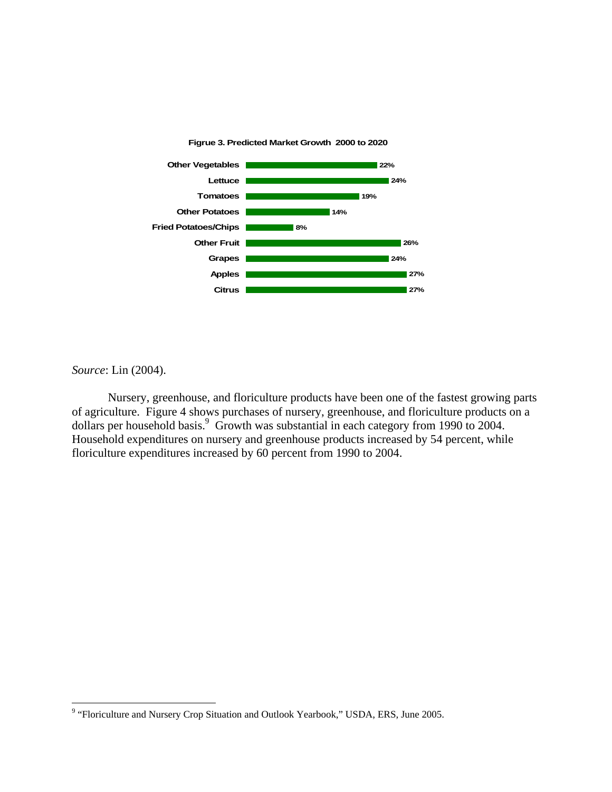

*Source*: Lin (2004).

<u>.</u>

Nursery, greenhouse, and floriculture products have been one of the fastest growing parts of agriculture. Figure 4 shows purchases of nursery, greenhouse, and floriculture products on a dollars per household basis.<sup>[9](#page-5-0)</sup> Growth was substantial in each category from 1990 to 2004. Household expenditures on nursery and greenhouse products increased by 54 percent, while floriculture expenditures increased by 60 percent from 1990 to 2004.

<span id="page-5-0"></span><sup>&</sup>lt;sup>9</sup> "Floriculture and Nursery Crop Situation and Outlook Yearbook," USDA, ERS, June 2005.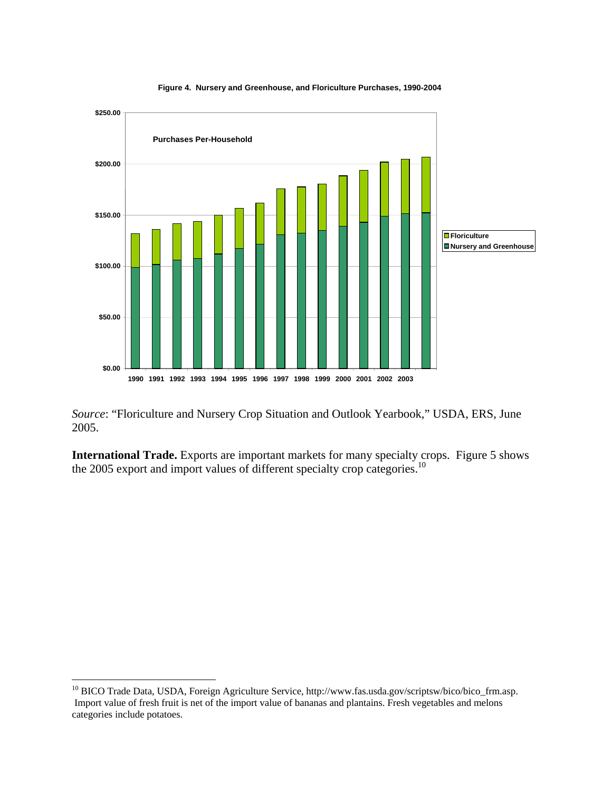

**Figure 4. Nursery and Greenhouse, and Floriculture Purchases, 1990-2004**

*Source*: "Floriculture and Nursery Crop Situation and Outlook Yearbook," USDA, ERS, June 2005.

**International Trade.** Exports are important markets for many specialty crops. Figure 5 shows the 2005 export and import values of different specialty crop categories.<sup>[10](#page-6-0)</sup>

<span id="page-6-0"></span><sup>&</sup>lt;sup>10</sup> BICO Trade Data, USDA, Foreign Agriculture Service, http://www.fas.usda.gov/scriptsw/bico/bico\_frm.asp. Import value of fresh fruit is net of the import value of bananas and plantains. Fresh vegetables and melons categories include potatoes.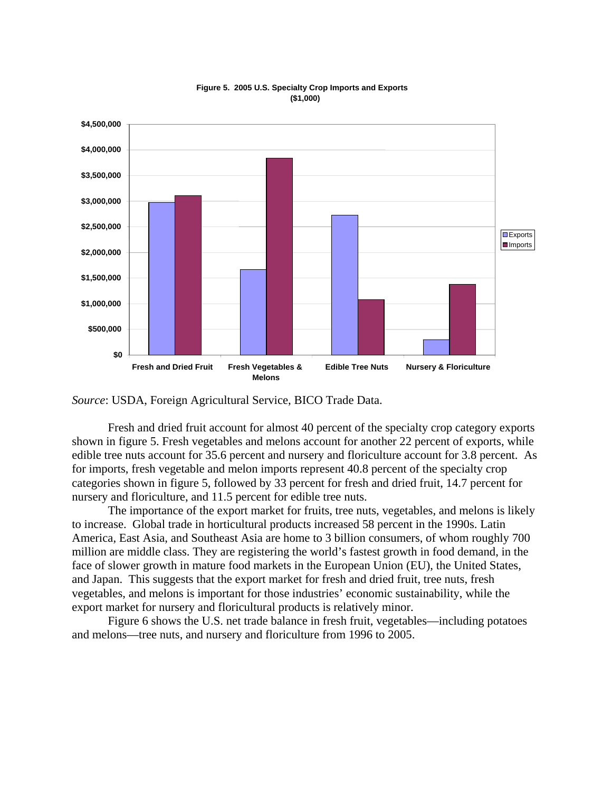

#### **Figure 5. 2005 U.S. Specialty Crop Imports and Exports (\$1,000)**

*Source*: USDA, Foreign Agricultural Service, BICO Trade Data.

Fresh and dried fruit account for almost 40 percent of the specialty crop category exports shown in figure 5. Fresh vegetables and melons account for another 22 percent of exports, while edible tree nuts account for 35.6 percent and nursery and floriculture account for 3.8 percent. As for imports, fresh vegetable and melon imports represent 40.8 percent of the specialty crop categories shown in figure 5, followed by 33 percent for fresh and dried fruit, 14.7 percent for nursery and floriculture, and 11.5 percent for edible tree nuts.

The importance of the export market for fruits, tree nuts, vegetables, and melons is likely to increase. Global trade in horticultural products increased 58 percent in the 1990s. Latin America, East Asia, and Southeast Asia are home to 3 billion consumers, of whom roughly 700 million are middle class. They are registering the world's fastest growth in food demand, in the face of slower growth in mature food markets in the European Union (EU), the United States, and Japan. This suggests that the export market for fresh and dried fruit, tree nuts, fresh vegetables, and melons is important for those industries' economic sustainability, while the export market for nursery and floricultural products is relatively minor.

Figure 6 shows the U.S. net trade balance in fresh fruit, vegetables—including potatoes and melons—tree nuts, and nursery and floriculture from 1996 to 2005.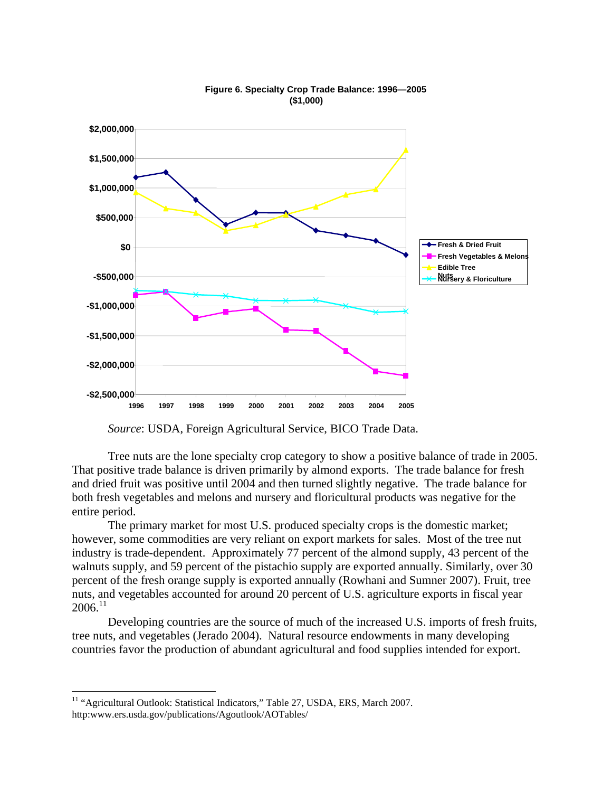

#### **Figure 6. Specialty Crop Trade Balance: 1996—2005 (\$1,000)**

*Source*: USDA, Foreign Agricultural Service, BICO Trade Data.

Tree nuts are the lone specialty crop category to show a positive balance of trade in 2005. That positive trade balance is driven primarily by almond exports. The trade balance for fresh and dried fruit was positive until 2004 and then turned slightly negative. The trade balance for both fresh vegetables and melons and nursery and floricultural products was negative for the entire period.

The primary market for most U.S. produced specialty crops is the domestic market; however, some commodities are very reliant on export markets for sales. Most of the tree nut industry is trade-dependent. Approximately 77 percent of the almond supply, 43 percent of the walnuts supply, and 59 percent of the pistachio supply are exported annually. Similarly, over 30 percent of the fresh orange supply is exported annually (Rowhani and Sumner 2007). Fruit, tree nuts, and vegetables accounted for around 20 percent of U.S. agriculture exports in fiscal year  $2006.<sup>11</sup>$  $2006.<sup>11</sup>$  $2006.<sup>11</sup>$ 

Developing countries are the source of much of the increased U.S. imports of fresh fruits, tree nuts, and vegetables (Jerado 2004). Natural resource endowments in many developing countries favor the production of abundant agricultural and food supplies intended for export.

<span id="page-8-0"></span><sup>&</sup>lt;sup>11</sup> "Agricultural Outlook: Statistical Indicators," Table 27, USDA, ERS, March 2007. http:www.ers.usda.gov/publications/Agoutlook/AOTables/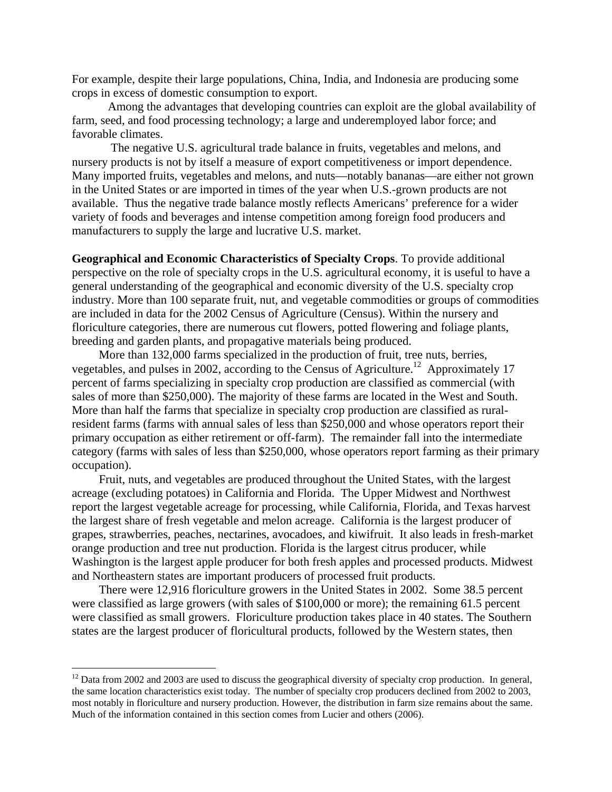For example, despite their large populations, China, India, and Indonesia are producing some crops in excess of domestic consumption to export.

Among the advantages that developing countries can exploit are the global availability of farm, seed, and food processing technology; a large and underemployed labor force; and favorable climates.

 The negative U.S. agricultural trade balance in fruits, vegetables and melons, and nursery products is not by itself a measure of export competitiveness or import dependence. Many imported fruits, vegetables and melons, and nuts—notably bananas—are either not grown in the United States or are imported in times of the year when U.S.-grown products are not available. Thus the negative trade balance mostly reflects Americans' preference for a wider variety of foods and beverages and intense competition among foreign food producers and manufacturers to supply the large and lucrative U.S. market.

**Geographical and Economic Characteristics of Specialty Crops**. To provide additional perspective on the role of specialty crops in the U.S. agricultural economy, it is useful to have a general understanding of the geographical and economic diversity of the U.S. specialty crop industry. More than 100 separate fruit, nut, and vegetable commodities or groups of commodities are included in data for the 2002 Census of Agriculture (Census). Within the nursery and floriculture categories, there are numerous cut flowers, potted flowering and foliage plants, breeding and garden plants, and propagative materials being produced.

More than 132,000 farms specialized in the production of fruit, tree nuts, berries, vegetables, and pulses in 2002, according to the Census of Agriculture.<sup>12</sup> Approximately 17 percent of farms specializing in specialty crop production are classified as commercial (with sales of more than \$250,000). The majority of these farms are located in the West and South. More than half the farms that specialize in specialty crop production are classified as ruralresident farms (farms with annual sales of less than \$250,000 and whose operators report their primary occupation as either retirement or off-farm). The remainder fall into the intermediate category (farms with sales of less than \$250,000, whose operators report farming as their primary occupation).

Fruit, nuts, and vegetables are produced throughout the United States, with the largest acreage (excluding potatoes) in California and Florida. The Upper Midwest and Northwest report the largest vegetable acreage for processing, while California, Florida, and Texas harvest the largest share of fresh vegetable and melon acreage. California is the largest producer of grapes, strawberries, peaches, nectarines, avocadoes, and kiwifruit. It also leads in fresh-market orange production and tree nut production. Florida is the largest citrus producer, while Washington is the largest apple producer for both fresh apples and processed products. Midwest and Northeastern states are important producers of processed fruit products.

There were 12,916 floriculture growers in the United States in 2002. Some 38.5 percent were classified as large growers (with sales of \$100,000 or more); the remaining 61.5 percent were classified as small growers. Floriculture production takes place in 40 states. The Southern states are the largest producer of floricultural products, followed by the Western states, then

<span id="page-9-0"></span> $12$  Data from 2002 and 2003 are used to discuss the geographical diversity of specialty crop production. In general, the same location characteristics exist today. The number of specialty crop producers declined from 2002 to 2003, most notably in floriculture and nursery production. However, the distribution in farm size remains about the same. Much of the information contained in this section comes from Lucier and others (2006).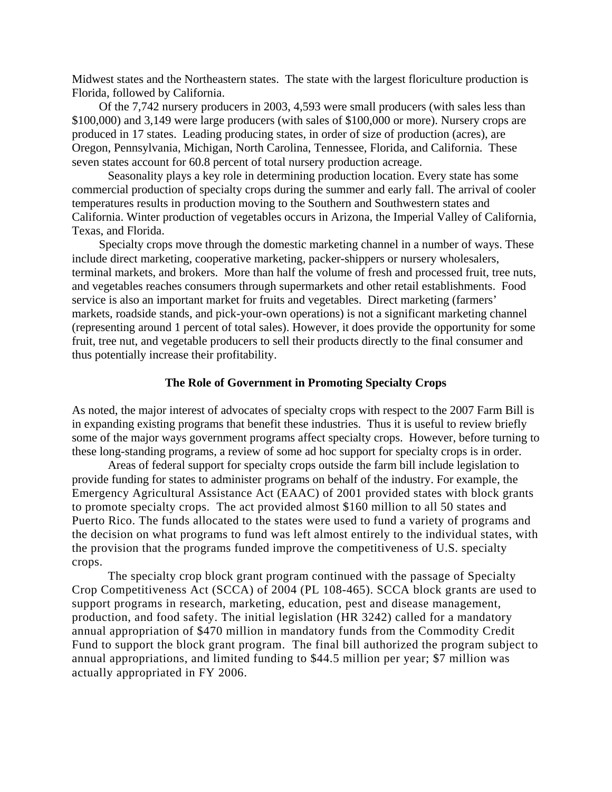Midwest states and the Northeastern states. The state with the largest floriculture production is Florida, followed by California.

Of the 7,742 nursery producers in 2003, 4,593 were small producers (with sales less than \$100,000) and 3,149 were large producers (with sales of \$100,000 or more). Nursery crops are produced in 17 states. Leading producing states, in order of size of production (acres), are Oregon, Pennsylvania, Michigan, North Carolina, Tennessee, Florida, and California. These seven states account for 60.8 percent of total nursery production acreage.

Seasonality plays a key role in determining production location. Every state has some commercial production of specialty crops during the summer and early fall. The arrival of cooler temperatures results in production moving to the Southern and Southwestern states and California. Winter production of vegetables occurs in Arizona, the Imperial Valley of California, Texas, and Florida.

Specialty crops move through the domestic marketing channel in a number of ways. These include direct marketing, cooperative marketing, packer-shippers or nursery wholesalers, terminal markets, and brokers. More than half the volume of fresh and processed fruit, tree nuts, and vegetables reaches consumers through supermarkets and other retail establishments. Food service is also an important market for fruits and vegetables. Direct marketing (farmers' markets, roadside stands, and pick-your-own operations) is not a significant marketing channel (representing around 1 percent of total sales). However, it does provide the opportunity for some fruit, tree nut, and vegetable producers to sell their products directly to the final consumer and thus potentially increase their profitability.

### **The Role of Government in Promoting Specialty Crops**

As noted, the major interest of advocates of specialty crops with respect to the 2007 Farm Bill is in expanding existing programs that benefit these industries. Thus it is useful to review briefly some of the major ways government programs affect specialty crops. However, before turning to these long-standing programs, a review of some ad hoc support for specialty crops is in order.

Areas of federal support for specialty crops outside the farm bill include legislation to provide funding for states to administer programs on behalf of the industry. For example, the Emergency Agricultural Assistance Act (EAAC) of 2001 provided states with block grants to promote specialty crops. The act provided almost \$160 million to all 50 states and Puerto Rico. The funds allocated to the states were used to fund a variety of programs and the decision on what programs to fund was left almost entirely to the individual states, with the provision that the programs funded improve the competitiveness of U.S. specialty crops.

The specialty crop block grant program continued with the passage of Specialty Crop Competitiveness Act (SCCA) of 2004 (PL 108-465). SCCA block grants are used to support programs in research, marketing, education, pest and disease management, production, and food safety. The initial legislation (HR 3242) called for a mandatory annual appropriation of \$470 million in mandatory funds from the Commodity Credit Fund to support the block grant program. The final bill authorized the program subject to annual appropriations, and limited funding to \$44.5 million per year; \$7 million was actually appropriated in FY 2006.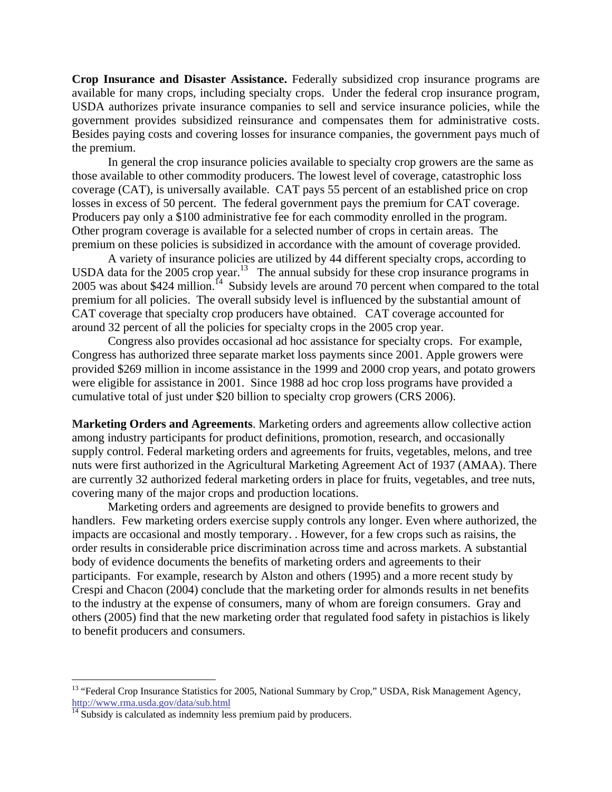**Crop Insurance and Disaster Assistance.** Federally subsidized crop insurance programs are available for many crops, including specialty crops. Under the federal crop insurance program, USDA authorizes private insurance companies to sell and service insurance policies, while the government provides subsidized reinsurance and compensates them for administrative costs. Besides paying costs and covering losses for insurance companies, the government pays much of the premium.

In general the crop insurance policies available to specialty crop growers are the same as those available to other commodity producers. The lowest level of coverage, catastrophic loss coverage (CAT), is universally available. CAT pays 55 percent of an established price on crop losses in excess of 50 percent. The federal government pays the premium for CAT coverage. Producers pay only a \$100 administrative fee for each commodity enrolled in the program. Other program coverage is available for a selected number of crops in certain areas. The premium on these policies is subsidized in accordance with the amount of coverage provided.

A variety of insurance policies are utilized by 44 different specialty crops, according to USDA data for the 2005 crop year.<sup>13</sup> The annual subsidy for these crop insurance programs in 2005 was about \$424 million.<sup>14</sup> Subsidy levels are around 70 percent when compared to the total premium for all policies. The overall subsidy level is influenced by the substantial amount of CAT coverage that specialty crop producers have obtained. CAT coverage accounted for around 32 percent of all the policies for specialty crops in the 2005 crop year.

Congress also provides occasional ad hoc assistance for specialty crops. For example, Congress has authorized three separate market loss payments since 2001. Apple growers were provided \$269 million in income assistance in the 1999 and 2000 crop years, and potato growers were eligible for assistance in 2001. Since 1988 ad hoc crop loss programs have provided a cumulative total of just under \$20 billion to specialty crop growers (CRS 2006).

**Marketing Orders and Agreements**. Marketing orders and agreements allow collective action among industry participants for product definitions, promotion, research, and occasionally supply control. Federal marketing orders and agreements for fruits, vegetables, melons, and tree nuts were first authorized in the Agricultural Marketing Agreement Act of 1937 (AMAA). There are currently 32 authorized federal marketing orders in place for fruits, vegetables, and tree nuts, covering many of the major crops and production locations.

Marketing orders and agreements are designed to provide benefits to growers and handlers. Few marketing orders exercise supply controls any longer. Even where authorized, the impacts are occasional and mostly temporary. . However, for a few crops such as raisins, the order results in considerable price discrimination across time and across markets. A substantial body of evidence documents the benefits of marketing orders and agreements to their participants. For example, research by Alston and others (1995) and a more recent study by Crespi and Chacon (2004) conclude that the marketing order for almonds results in net benefits to the industry at the expense of consumers, many of whom are foreign consumers. Gray and others (2005) find that the new marketing order that regulated food safety in pistachios is likely to benefit producers and consumers.

<span id="page-11-0"></span><sup>&</sup>lt;sup>13</sup> "Federal Crop Insurance Statistics for 2005, National Summary by Crop," USDA, Risk Management Agency, http://www.rma.usda.gov/data/sub.html <sup>14</sup> Subsidy is calculated as indemnity less premium paid by producers.

<span id="page-11-1"></span>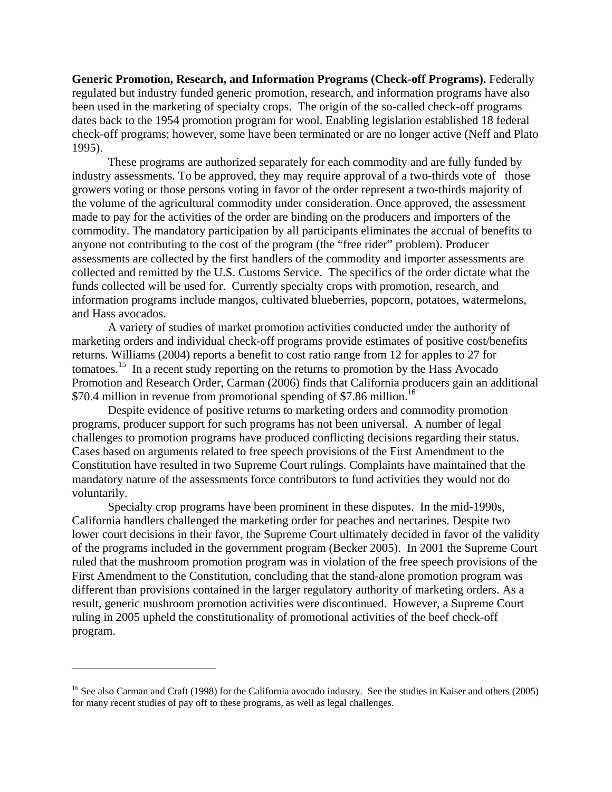**Generic Promotion, Research, and Information Programs (Check-off Programs).** Federally regulated but industry funded generic promotion, research, and information programs have also been used in the marketing of specialty crops. The origin of the so-called check-off programs dates back to the 1954 promotion program for wool. Enabling legislation established 18 federal check-off programs; however, some have been terminated or are no longer active (Neff and Plato 1995).

These programs are authorized separately for each commodity and are fully funded by industry assessments. To be approved, they may require approval of a two-thirds vote of those growers voting or those persons voting in favor of the order represent a two-thirds majority of the volume of the agricultural commodity under consideration. Once approved, the assessment made to pay for the activities of the order are binding on the producers and importers of the commodity. The mandatory participation by all participants eliminates the accrual of benefits to anyone not contributing to the cost of the program (the "free rider" problem). Producer assessments are collected by the first handlers of the commodity and importer assessments are collected and remitted by the U.S. Customs Service. The specifics of the order dictate what the funds collected will be used for. Currently specialty crops with promotion, research, and information programs include mangos, cultivated blueberries, popcorn, potatoes, watermelons, and Hass avocados.

A variety of studies of market promotion activities conducted under the authority of marketing orders and individual check-off programs provide estimates of positive cost/benefits returns. Williams (2004) reports a benefit to cost ratio range from 12 for apples to 27 for tomatoes.<sup>15</sup> In a recent study reporting on the returns to promotion by the Hass Avocado Promotion and Research Order, Carman (2006) finds that California producers gain an additional \$70.4 million in revenue from promotional spending of \$7.86 million.<sup>16</sup>

Despite evidence of positive returns to marketing orders and commodity promotion programs, producer support for such programs has not been universal. A number of legal challenges to promotion programs have produced conflicting decisions regarding their status. Cases based on arguments related to free speech provisions of the First Amendment to the Constitution have resulted in two Supreme Court rulings. Complaints have maintained that the mandatory nature of the assessments force contributors to fund activities they would not do voluntarily.

Specialty crop programs have been prominent in these disputes. In the mid-1990s, California handlers challenged the marketing order for peaches and nectarines. Despite two lower court decisions in their favor, the Supreme Court ultimately decided in favor of the validity of the programs included in the government program (Becker 2005). In 2001 the Supreme Court ruled that the mushroom promotion program was in violation of the free speech provisions of the First Amendment to the Constitution, concluding that the stand-alone promotion program was different than provisions contained in the larger regulatory authority of marketing orders. As a result, generic mushroom promotion activities were discontinued. However, a Supreme Court ruling in 2005 upheld the constitutionality of promotional activities of the beef check-off program.

<span id="page-12-0"></span><u>.</u>

<span id="page-12-1"></span><sup>&</sup>lt;sup>16</sup> See also Carman and Craft (1998) for the California avocado industry. See the studies in Kaiser and others (2005) for many recent studies of pay off to these programs, as well as legal challenges.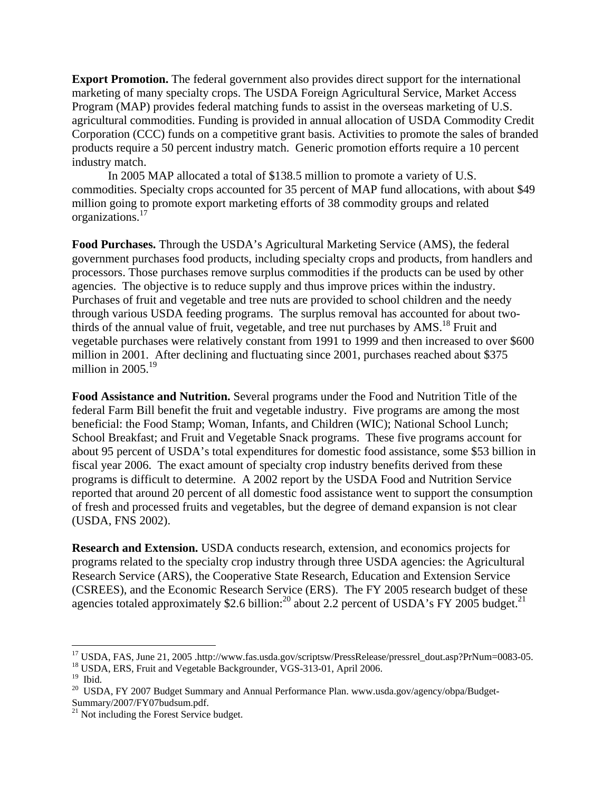**Export Promotion.** The federal government also provides direct support for the international marketing of many specialty crops. The USDA Foreign Agricultural Service, Market Access Program (MAP) provides federal matching funds to assist in the overseas marketing of U.S. agricultural commodities. Funding is provided in annual allocation of USDA Commodity Credit Corporation (CCC) funds on a competitive grant basis. Activities to promote the sales of branded products require a 50 percent industry match. Generic promotion efforts require a 10 percent industry match.

In 2005 MAP allocated a total of \$138.5 million to promote a variety of U.S. commodities. Specialty crops accounted for 35 percent of MAP fund allocations, with about \$49 million going to promote export marketing efforts of 38 commodity groups and related organizations.[17](#page-13-0) 

**Food Purchases.** Through the USDA's Agricultural Marketing Service (AMS), the federal government purchases food products, including specialty crops and products, from handlers and processors. Those purchases remove surplus commodities if the products can be used by other agencies. The objective is to reduce supply and thus improve prices within the industry. Purchases of fruit and vegetable and tree nuts are provided to school children and the needy through various USDA feeding programs. The surplus removal has accounted for about twothirds of the annual value of fruit, vegetable, and tree nut purchases by  $AMS<sup>18</sup>$  Fruit and vegetable purchases were relatively constant from 1991 to 1999 and then increased to over \$600 million in 2001. After declining and fluctuating since 2001, purchases reached about \$375 million in  $2005.<sup>19</sup>$  $2005.<sup>19</sup>$  $2005.<sup>19</sup>$ 

**Food Assistance and Nutrition.** Several programs under the Food and Nutrition Title of the federal Farm Bill benefit the fruit and vegetable industry. Five programs are among the most beneficial: the Food Stamp; Woman, Infants, and Children (WIC); National School Lunch; School Breakfast; and Fruit and Vegetable Snack programs. These five programs account for about 95 percent of USDA's total expenditures for domestic food assistance, some \$53 billion in fiscal year 2006. The exact amount of specialty crop industry benefits derived from these programs is difficult to determine. A 2002 report by the USDA Food and Nutrition Service reported that around 20 percent of all domestic food assistance went to support the consumption of fresh and processed fruits and vegetables, but the degree of demand expansion is not clear (USDA, FNS 2002).

**Research and Extension.** USDA conducts research, extension, and economics projects for programs related to the specialty crop industry through three USDA agencies: the Agricultural Research Service (ARS), the Cooperative State Research, Education and Extension Service (CSREES), and the Economic Research Service (ERS). The FY 2005 research budget of these agencies totaled approximately \$2.6 billion:<sup>20</sup> about 2.2 percent of USDA's FY 2005 budget.<sup>21</sup>

<span id="page-13-0"></span><sup>&</sup>lt;sup>17</sup> USDA, FAS, June 21, 2005 .http://www.fas.usda.gov/scriptsw/PressRelease/pressrel\_dout.asp?PrNum=0083-05.<br><sup>18</sup> USDA, ERS, Fruit and Vegetable Backgrounder, VGS-313-01, April 2006.<br><sup>19</sup> Ibid.<br><sup>20</sup> USDA, FY 2007 Budget

<span id="page-13-1"></span>

<span id="page-13-2"></span>

<span id="page-13-3"></span>Summary/2007/FY07budsum.pdf.<br><sup>21</sup> Not including the Forest Service budget.

<span id="page-13-4"></span>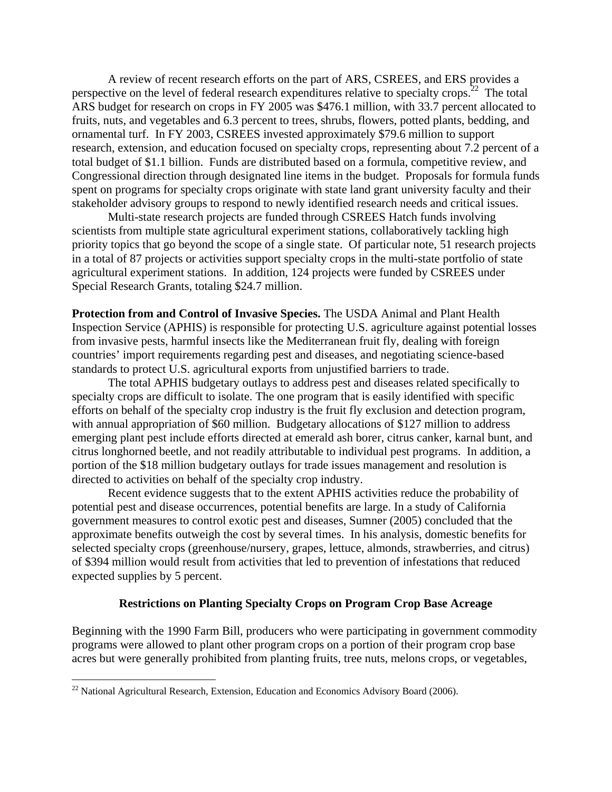A review of recent research efforts on the part of ARS, CSREES, and ERS provides a perspective on the level of federal research expenditures relative to specialty crops.<sup>22</sup> The total ARS budget for research on crops in FY 2005 was \$476.1 million, with 33.7 percent allocated to fruits, nuts, and vegetables and 6.3 percent to trees, shrubs, flowers, potted plants, bedding, and ornamental turf. In FY 2003, CSREES invested approximately \$79.6 million to support research, extension, and education focused on specialty crops, representing about 7.2 percent of a total budget of \$1.1 billion. Funds are distributed based on a formula, competitive review, and Congressional direction through designated line items in the budget. Proposals for formula funds spent on programs for specialty crops originate with state land grant university faculty and their stakeholder advisory groups to respond to newly identified research needs and critical issues.

 Multi-state research projects are funded through CSREES Hatch funds involving scientists from multiple state agricultural experiment stations, collaboratively tackling high priority topics that go beyond the scope of a single state. Of particular note, 51 research projects in a total of 87 projects or activities support specialty crops in the multi-state portfolio of state agricultural experiment stations. In addition, 124 projects were funded by CSREES under Special Research Grants, totaling \$24.7 million.

**Protection from and Control of Invasive Species.** The USDA Animal and Plant Health Inspection Service (APHIS) is responsible for protecting U.S. agriculture against potential losses from invasive pests, harmful insects like the Mediterranean fruit fly, dealing with foreign countries' import requirements regarding pest and diseases, and negotiating science-based standards to protect U.S. agricultural exports from unjustified barriers to trade.

The total APHIS budgetary outlays to address pest and diseases related specifically to specialty crops are difficult to isolate. The one program that is easily identified with specific efforts on behalf of the specialty crop industry is the fruit fly exclusion and detection program, with annual appropriation of \$60 million. Budgetary allocations of \$127 million to address emerging plant pest include efforts directed at emerald ash borer, citrus canker, karnal bunt, and citrus longhorned beetle, and not readily attributable to individual pest programs. In addition, a portion of the \$18 million budgetary outlays for trade issues management and resolution is directed to activities on behalf of the specialty crop industry.

Recent evidence suggests that to the extent APHIS activities reduce the probability of potential pest and disease occurrences, potential benefits are large. In a study of California government measures to control exotic pest and diseases, Sumner (2005) concluded that the approximate benefits outweigh the cost by several times. In his analysis, domestic benefits for selected specialty crops (greenhouse/nursery, grapes, lettuce, almonds, strawberries, and citrus) of \$394 million would result from activities that led to prevention of infestations that reduced expected supplies by 5 percent.

### **Restrictions on Planting Specialty Crops on Program Crop Base Acreage**

Beginning with the 1990 Farm Bill, producers who were participating in government commodity programs were allowed to plant other program crops on a portion of their program crop base acres but were generally prohibited from planting fruits, tree nuts, melons crops, or vegetables,

<span id="page-14-0"></span> $^{22}$  National Agricultural Research, Extension, Education and Economics Advisory Board (2006).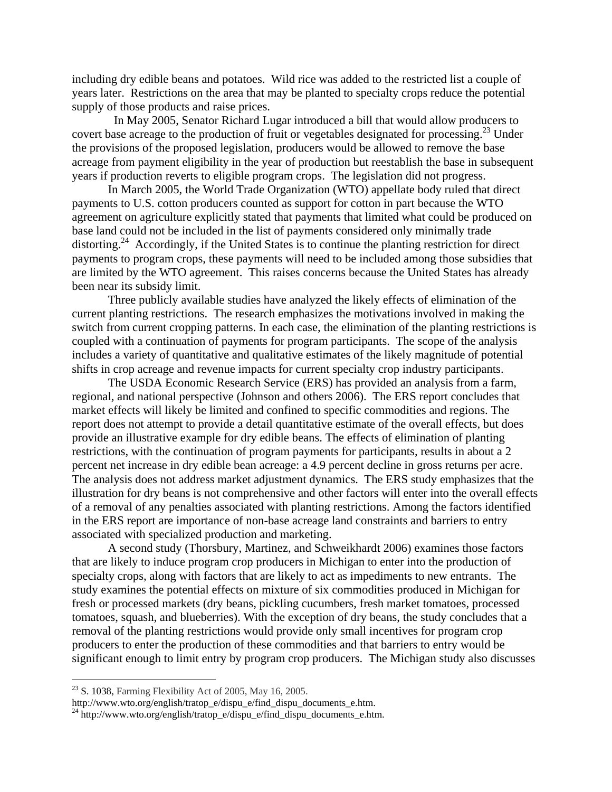including dry edible beans and potatoes. Wild rice was added to the restricted list a couple of years later. Restrictions on the area that may be planted to specialty crops reduce the potential supply of those products and raise prices.

 In May 2005, Senator Richard Lugar introduced a bill that would allow producers to covert base acreage to the production of fruit or vegetables designated for processing.<sup>23</sup> Under the provisions of the proposed legislation, producers would be allowed to remove the base acreage from payment eligibility in the year of production but reestablish the base in subsequent years if production reverts to eligible program crops. The legislation did not progress.

In March 2005, the World Trade Organization (WTO) appellate body ruled that direct payments to U.S. cotton producers counted as support for cotton in part because the WTO agreement on agriculture explicitly stated that payments that limited what could be produced on base land could not be included in the list of payments considered only minimally trade distorting.<sup>24</sup> Accordingly, if the United States is to continue the planting restriction for direct payments to program crops, these payments will need to be included among those subsidies that are limited by the WTO agreement. This raises concerns because the United States has already been near its subsidy limit.

Three publicly available studies have analyzed the likely effects of elimination of the current planting restrictions. The research emphasizes the motivations involved in making the switch from current cropping patterns. In each case, the elimination of the planting restrictions is coupled with a continuation of payments for program participants. The scope of the analysis includes a variety of quantitative and qualitative estimates of the likely magnitude of potential shifts in crop acreage and revenue impacts for current specialty crop industry participants.

The USDA Economic Research Service (ERS) has provided an analysis from a farm, regional, and national perspective (Johnson and others 2006). The ERS report concludes that market effects will likely be limited and confined to specific commodities and regions. The report does not attempt to provide a detail quantitative estimate of the overall effects, but does provide an illustrative example for dry edible beans. The effects of elimination of planting restrictions, with the continuation of program payments for participants, results in about a 2 percent net increase in dry edible bean acreage: a 4.9 percent decline in gross returns per acre. The analysis does not address market adjustment dynamics. The ERS study emphasizes that the illustration for dry beans is not comprehensive and other factors will enter into the overall effects of a removal of any penalties associated with planting restrictions. Among the factors identified in the ERS report are importance of non-base acreage land constraints and barriers to entry associated with specialized production and marketing.

A second study (Thorsbury, Martinez, and Schweikhardt 2006) examines those factors that are likely to induce program crop producers in Michigan to enter into the production of specialty crops, along with factors that are likely to act as impediments to new entrants. The study examines the potential effects on mixture of six commodities produced in Michigan for fresh or processed markets (dry beans, pickling cucumbers, fresh market tomatoes, processed tomatoes, squash, and blueberries). With the exception of dry beans, the study concludes that a removal of the planting restrictions would provide only small incentives for program crop producers to enter the production of these commodities and that barriers to entry would be significant enough to limit entry by program crop producers. The Michigan study also discusses

<span id="page-15-0"></span>

<sup>&</sup>lt;sup>23</sup> S. 1038, Farming Flexibility Act of 2005, May 16, 2005.<br>http://www.wto.org/english/tratop\_e/dispu\_e/find\_dispu\_documents\_e.htm.

<span id="page-15-1"></span> $^{24}$  http://www.wto.org/english/tratop\_e/dispu\_e/find\_dispu\_documents\_e.htm.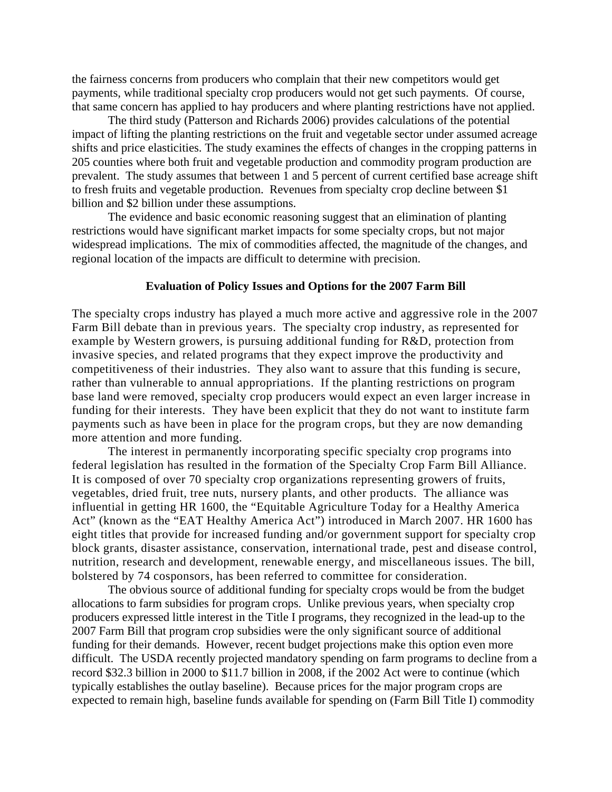the fairness concerns from producers who complain that their new competitors would get payments, while traditional specialty crop producers would not get such payments. Of course, that same concern has applied to hay producers and where planting restrictions have not applied.

The third study (Patterson and Richards 2006) provides calculations of the potential impact of lifting the planting restrictions on the fruit and vegetable sector under assumed acreage shifts and price elasticities. The study examines the effects of changes in the cropping patterns in 205 counties where both fruit and vegetable production and commodity program production are prevalent. The study assumes that between 1 and 5 percent of current certified base acreage shift to fresh fruits and vegetable production. Revenues from specialty crop decline between \$1 billion and \$2 billion under these assumptions.

The evidence and basic economic reasoning suggest that an elimination of planting restrictions would have significant market impacts for some specialty crops, but not major widespread implications. The mix of commodities affected, the magnitude of the changes, and regional location of the impacts are difficult to determine with precision.

## **Evaluation of Policy Issues and Options for the 2007 Farm Bill**

The specialty crops industry has played a much more active and aggressive role in the 2007 Farm Bill debate than in previous years. The specialty crop industry, as represented for example by Western growers, is pursuing additional funding for R&D, protection from invasive species, and related programs that they expect improve the productivity and competitiveness of their industries. They also want to assure that this funding is secure, rather than vulnerable to annual appropriations. If the planting restrictions on program base land were removed, specialty crop producers would expect an even larger increase in funding for their interests. They have been explicit that they do not want to institute farm payments such as have been in place for the program crops, but they are now demanding more attention and more funding.

The interest in permanently incorporating specific specialty crop programs into federal legislation has resulted in the formation of the Specialty Crop Farm Bill Alliance. It is composed of over 70 specialty crop organizations representing growers of fruits, vegetables, dried fruit, tree nuts, nursery plants, and other products. The alliance was influential in getting HR 1600, the "Equitable Agriculture Today for a Healthy America Act" (known as the "EAT Healthy America Act") introduced in March 2007. HR 1600 has eight titles that provide for increased funding and/or government support for specialty crop block grants, disaster assistance, conservation, international trade, pest and disease control, nutrition, research and development, renewable energy, and miscellaneous issues. The bill, bolstered by 74 cosponsors, has been referred to committee for consideration.

The obvious source of additional funding for specialty crops would be from the budget allocations to farm subsidies for program crops. Unlike previous years, when specialty crop producers expressed little interest in the Title I programs, they recognized in the lead-up to the 2007 Farm Bill that program crop subsidies were the only significant source of additional funding for their demands. However, recent budget projections make this option even more difficult. The USDA recently projected mandatory spending on farm programs to decline from a record \$32.3 billion in 2000 to \$11.7 billion in 2008, if the 2002 Act were to continue (which typically establishes the outlay baseline). Because prices for the major program crops are expected to remain high, baseline funds available for spending on (Farm Bill Title I) commodity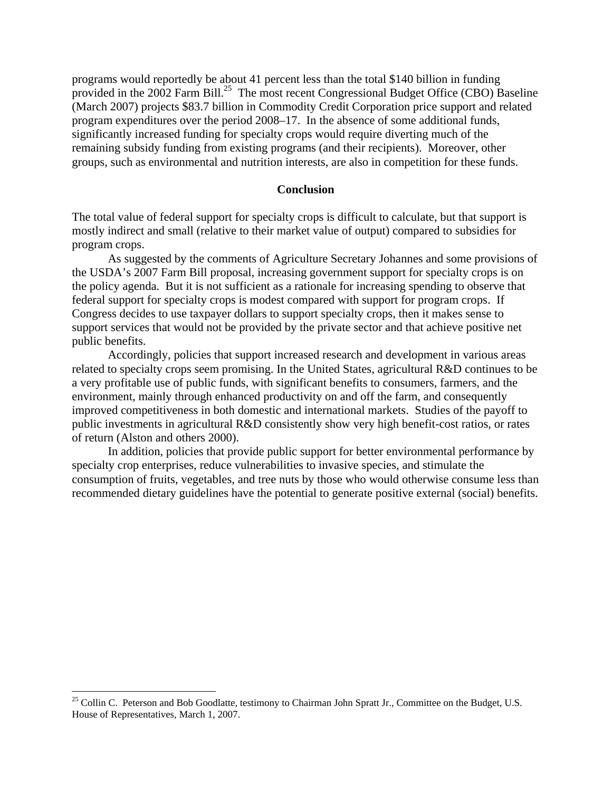programs would reportedly be about 41 percent less than the total \$140 billion in funding provided in the 2002 Farm Bill.<sup>25</sup> The most recent Congressional Budget Office (CBO) Baseline (March 2007) projects \$83.7 billion in Commodity Credit Corporation price support and related program expenditures over the period 2008–17. In the absence of some additional funds, significantly increased funding for specialty crops would require diverting much of the remaining subsidy funding from existing programs (and their recipients). Moreover, other groups, such as environmental and nutrition interests, are also in competition for these funds.

#### **Conclusion**

The total value of federal support for specialty crops is difficult to calculate, but that support is mostly indirect and small (relative to their market value of output) compared to subsidies for program crops.

As suggested by the comments of Agriculture Secretary Johannes and some provisions of the USDA's 2007 Farm Bill proposal, increasing government support for specialty crops is on the policy agenda. But it is not sufficient as a rationale for increasing spending to observe that federal support for specialty crops is modest compared with support for program crops. If Congress decides to use taxpayer dollars to support specialty crops, then it makes sense to support services that would not be provided by the private sector and that achieve positive net public benefits.

Accordingly, policies that support increased research and development in various areas related to specialty crops seem promising. In the United States, agricultural R&D continues to be a very profitable use of public funds, with significant benefits to consumers, farmers, and the environment, mainly through enhanced productivity on and off the farm, and consequently improved competitiveness in both domestic and international markets. Studies of the payoff to public investments in agricultural R&D consistently show very high benefit-cost ratios, or rates of return (Alston and others 2000).

In addition, policies that provide public support for better environmental performance by specialty crop enterprises, reduce vulnerabilities to invasive species, and stimulate the consumption of fruits, vegetables, and tree nuts by those who would otherwise consume less than recommended dietary guidelines have the potential to generate positive external (social) benefits.

<span id="page-17-0"></span><sup>&</sup>lt;sup>25</sup> Collin C. Peterson and Bob Goodlatte, testimony to Chairman John Spratt Jr., Committee on the Budget, U.S. House of Representatives, March 1, 2007.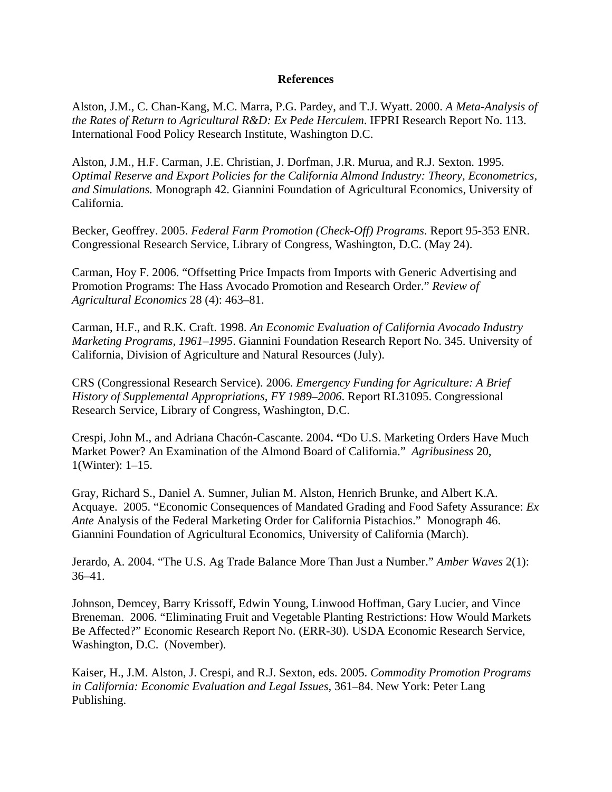### **References**

Alston, J.M., C. Chan-Kang, M.C. Marra, P.G. Pardey, and T.J. Wyatt. 2000. *A Meta-Analysis of the Rates of Return to Agricultural R&D: Ex Pede Herculem*. IFPRI Research Report No. 113. International Food Policy Research Institute, Washington D.C.

Alston, J.M., H.F. Carman, J.E. Christian, J. Dorfman, J.R. Murua, and R.J. Sexton. 1995. *[Optimal Reserve and Export Policies for the California Almond](http://giannini.ucop.edu/Monographs/42_Almonds.pdf) [Industry: Theory, Econometrics,](http://giannini.ucop.edu/Monographs/42_Almonds.pdf)  [and Simulations.](http://giannini.ucop.edu/Monographs/42_Almonds.pdf)* Monograph 42. Giannini Foundation of Agricultural Economics, University of California.

Becker, Geoffrey. 2005. *Federal Farm Promotion (Check-Off) Programs*. Report 95-353 ENR. Congressional Research Service, Library of Congress, Washington, D.C. (May 24).

Carman, Hoy F. 2006. "Offsetting Price Impacts from Imports with Generic Advertising and Promotion Programs: The Hass Avocado Promotion and Research Order." *Review of Agricultural Economics* 28 (4): 463–81.

Carman, H.F., and R.K. Craft. 1998. *An Economic Evaluation of California Avocado Industry Marketing Programs, 1961–1995*. Giannini Foundation Research Report No. 345. University of California, Division of Agriculture and Natural Resources (July).

CRS (Congressional Research Service). 2006. *Emergency Funding for Agriculture: A Brief History of Supplemental Appropriations, FY 1989–2006*. Report RL31095. Congressional Research Service, Library of Congress, Washington, D.C.

Crespi, John M., and Adriana Chacón-Cascante. 2004**. "**Do U.S. Marketing Orders Have Much Market Power? An Examination of the Almond Board of California." *Agribusiness* 20, 1(Winter): 1–15.

Gray, Richard S., Daniel A. Sumner, Julian M. Alston, Henrich Brunke, and Albert K.A. Acquaye. 2005. "Economic Consequences of Mandated Grading and Food Safety Assurance: *Ex Ante* Analysis of the Federal Marketing Order for California Pistachios." Monograph 46. Giannini Foundation of Agricultural Economics, University of California (March).

Jerardo, A. 2004. "The U.S. Ag Trade Balance More Than Just a Number." *Amber Waves* 2(1): 36–41.

Johnson, Demcey, Barry Krissoff, Edwin Young, Linwood Hoffman, Gary Lucier, and Vince Breneman. 2006. "Eliminating Fruit and Vegetable Planting Restrictions: How Would Markets Be Affected?" Economic Research Report No. (ERR-30). USDA Economic Research Service, Washington, D.C. (November).

Kaiser, H., J.M. Alston, J. Crespi, and R.J. Sexton, eds. 2005. *Commodity Promotion Programs in California: Economic Evaluation and Legal Issues,* 361*–*84. New York: Peter Lang Publishing.